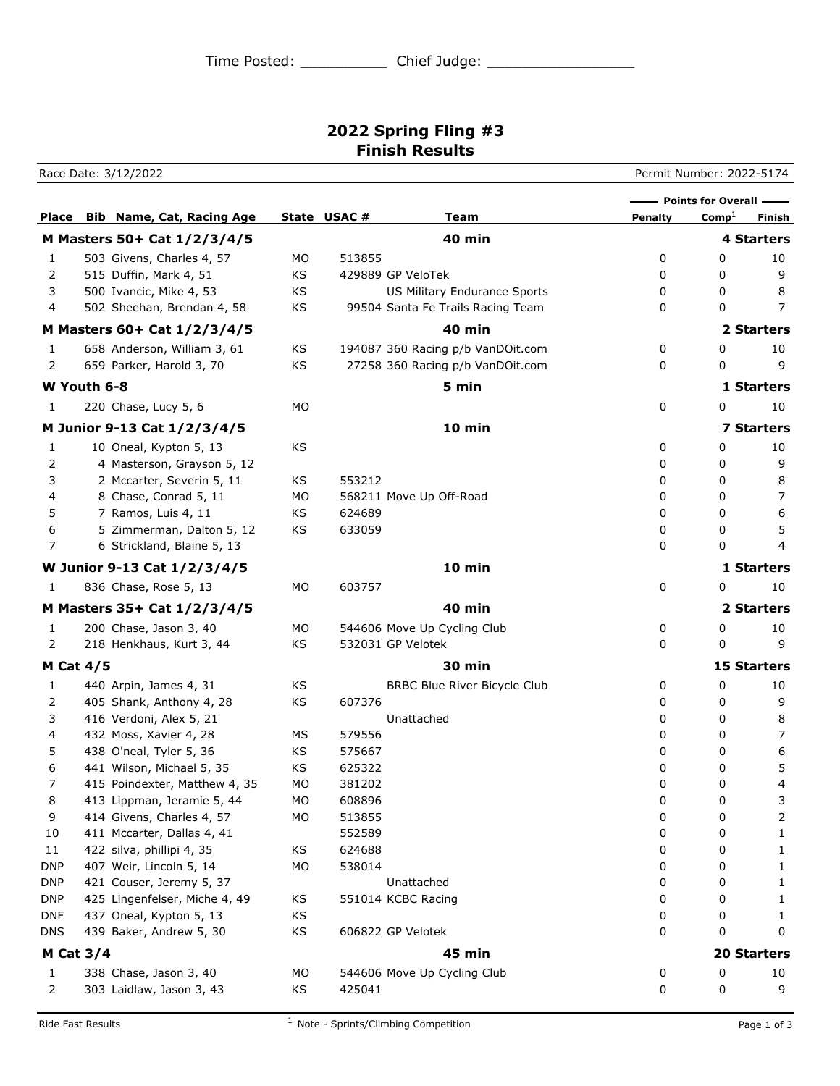## **2022 Spring Fling #3 Finish Results**

Race Date: 3/12/2022 Permit Number: 2022-5174 **Place Bib Name, Cat, Racing Age State USAC # 7 Team Penalty** Comp<sup>1</sup> Finish **Points for Overall -M Masters 50+ Cat 1/2/3/4/5 40 min 4 Starters** 1 503 Givens, Charles 4, 57 MO 513855 0 0 10 2 515 Duffin, Mark 4, 51 KS 429889 GP VeloTek 6 (0 0 9 9) 3 500 Ivancic, Mike 4, 53 KS US Military Endurance Sports 0 0 8 4 502 Sheehan, Brendan 4, 58 KS 99504 Santa Fe Trails Racing Team 0 0 7 **M Masters 60+ Cat 1/2/3/4/5 40 min 2 Starters** 1 658 Anderson, William 3, 61 KS 194087 360 Racing p/b VanDOit.com 0 0 10 2 659 Parker, Harold 3, 70 KS 27258 360 Racing p/b VanDOit.com 0 0 9 **W Youth 6-8 5 min 1 Starters** 1 220 Chase, Lucy 5, 6 MO 0 0 0 10 **M Junior 9-13 Cat 1/2/3/4/5 10 min 7 Starters** 1 10 Oneal, Kypton 5, 13 KS 0 0 10 2 4 Masterson, Grayson 5, 12 and 20 and 20 and 20 and 20 and 20 and 20 and 20 and 20 and 20 and 20 and 20 and 20 and 20 and 20 and 20 and 20 and 20 and 20 and 20 and 20 and 20 and 20 and 20 and 20 and 20 and 20 and 20 and 3 2 Mccarter, Severin 5, 11 KS 553212 0 0 8 4 8 Chase, Conrad 5, 11 MO 568211 Move Up Off-Road 0 0 7 5 7 Ramos, Luis 4, 11 KS 624689 0 0 6 6 5 Zimmerman, Dalton 5, 12 KS 633059 0 0 5 7 6 Strickland, Blaine 5, 13 0 0 4 **W Junior 9-13 Cat 1/2/3/4/5 10 min 1 Starters** 1 836 Chase, Rose 5, 13 MO 603757 0 0 10 **M Masters 35+ Cat 1/2/3/4/5 40 min 2 Starters** 1 200 Chase, Jason 3, 40 MO 544606 Move Up Cycling Club 0 0 0 10 2 218 Henkhaus, Kurt 3, 44 KS 532031 GP Velotek 0 0 9 **M Cat 4/5 30 min 15 Starters** 1 440 Arpin, James 4, 31 KS BRBC Blue River Bicycle Club 0 0 10 2 405 Shank, Anthony 4, 28 KS 607376 0 0 9 3 416 Verdoni, Alex 5, 21 Unattached 0 0 8 4 432 Moss, Xavier 4, 28 MS 579556 0 0 7 5 438 O'neal, Tyler 5, 36 KS 575667 0 0 6 6 441 Wilson, Michael 5, 35 KS 625322 0 0 5 7 415 Poindexter, Matthew 4, 35 MO 381202 0 0 4 8 413 Lippman, Jeramie 5, 44 MO 608896 0 0 3 9 414 Givens, Charles 4, 57 MO 513855 0 0 2 10 411 Mccarter, Dallas 4, 41 552589 0 0 1 11 422 silva, phillipi 4, 35 KS 624688 624688 0 0 1 DNP 407 Weir, Lincoln 5, 14 MO 538014 10 0 0 1 DNP 421 Couser, Jeremy 5, 37 Couser and Dunattached Couser and Dunattached Couser and Dunattached Couser and Dunattached Couser and Dunattached Couser and Dunattached Couser and Dunattached Couser and Dunattached Couser an DNP 425 Lingenfelser, Miche 4, 49 KS 551014 KCBC Racing 0 0 0 1 DNF 437 Oneal, Kypton 5, 13 KS 6 and 1 and 20 and 20 and 20 and 20 and 20 and 20 and 20 and 20 and 20 and 20 and 20 and 20 and 20 and 20 and 20 and 20 and 20 and 20 and 20 and 20 and 20 and 20 and 20 and 20 and 20 and 20 a DNS 439 Baker, Andrew 5, 30 KS 606822 GP Velotek 0 0 0 0 0 **M Cat 3/4 45 min 20 Starters** 1 338 Chase, Jason 3, 40 MO 544606 Move Up Cycling Club 0 0 0 10 2 303 Laidlaw, Jason 3, 43 KS 425041 0 0 9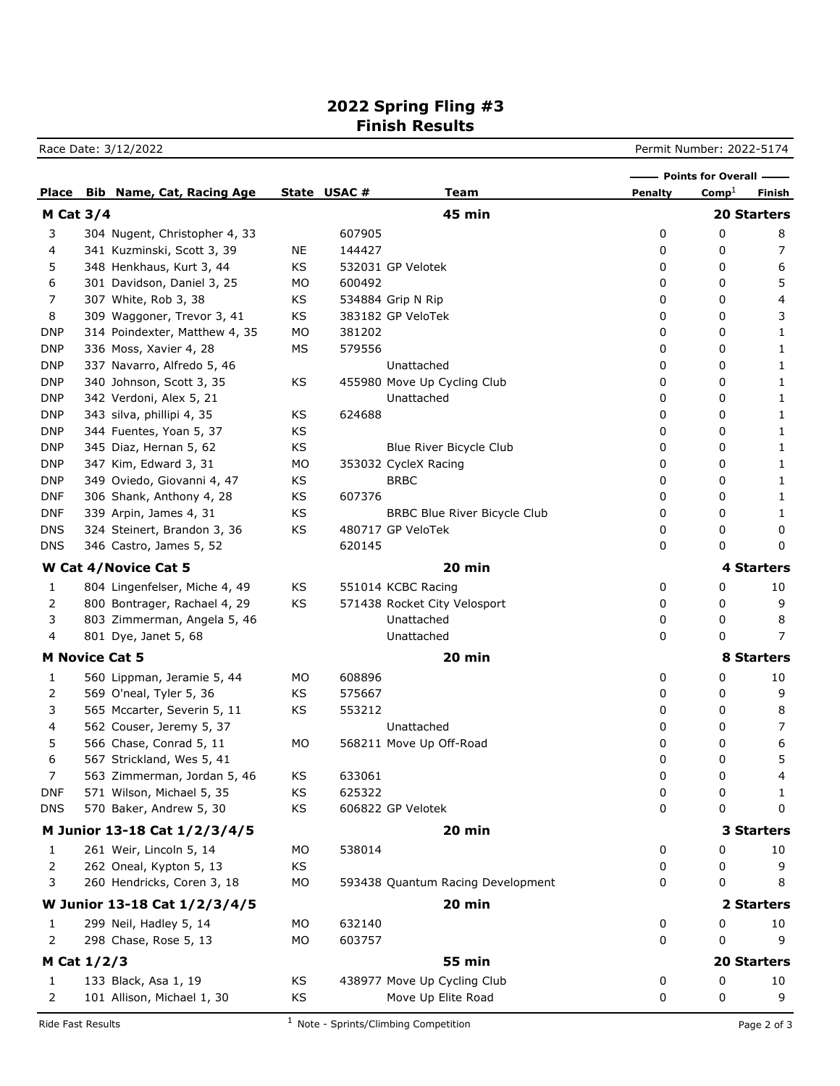## **2022 Spring Fling #3 Finish Results**

Race Date: 3/12/2022 **Permit Number: 2022-5174** 

|                              |                              |                               |    |             |                                     |                | - Points for Overall - |                    |
|------------------------------|------------------------------|-------------------------------|----|-------------|-------------------------------------|----------------|------------------------|--------------------|
| <b>Place</b>                 |                              | Bib Name, Cat, Racing Age     |    | State USAC# | <b>Team</b>                         | <b>Penalty</b> | $Comp^{\perp}$         | Finish             |
| <b>M Cat 3/4</b>             |                              |                               |    |             | <b>45 min</b>                       |                |                        | <b>20 Starters</b> |
| 3                            |                              | 304 Nugent, Christopher 4, 33 |    | 607905      |                                     | 0              | 0                      | 8                  |
| 4                            |                              | 341 Kuzminski, Scott 3, 39    | ΝE | 144427      |                                     | 0              | 0                      | 7                  |
| 5                            |                              | 348 Henkhaus, Kurt 3, 44      | KS |             | 532031 GP Velotek                   | 0              | 0                      | 6                  |
| 6                            |                              | 301 Davidson, Daniel 3, 25    | МO | 600492      |                                     | 0              | 0                      | 5                  |
| 7                            |                              | 307 White, Rob 3, 38          | KS |             | 534884 Grip N Rip                   | 0              | 0                      | 4                  |
| 8                            |                              | 309 Waggoner, Trevor 3, 41    | KS |             | 383182 GP VeloTek                   | 0              | 0                      | 3                  |
| <b>DNP</b>                   |                              | 314 Poindexter, Matthew 4, 35 | MO | 381202      |                                     | 0              | 0                      | 1                  |
| <b>DNP</b>                   |                              | 336 Moss, Xavier 4, 28        | МS | 579556      |                                     | 0              | 0                      | 1                  |
| <b>DNP</b>                   |                              | 337 Navarro, Alfredo 5, 46    |    |             | Unattached                          | 0              | 0                      | 1                  |
| <b>DNP</b>                   |                              | 340 Johnson, Scott 3, 35      | KS |             | 455980 Move Up Cycling Club         | 0              | 0                      | 1                  |
| <b>DNP</b>                   |                              | 342 Verdoni, Alex 5, 21       |    |             | Unattached                          | 0              | 0                      | 1                  |
| <b>DNP</b>                   |                              | 343 silva, phillipi 4, 35     | KS | 624688      |                                     | 0              | 0                      | 1                  |
| <b>DNP</b>                   |                              | 344 Fuentes, Yoan 5, 37       | KS |             |                                     | 0              | 0                      | 1                  |
| <b>DNP</b>                   |                              | 345 Diaz, Hernan 5, 62        | KS |             | Blue River Bicycle Club             | 0              | 0                      | 1                  |
| <b>DNP</b>                   |                              | 347 Kim, Edward 3, 31         | MO |             | 353032 CycleX Racing                | 0              | 0                      | 1                  |
| <b>DNP</b>                   |                              | 349 Oviedo, Giovanni 4, 47    | KS |             | <b>BRBC</b>                         | 0              | 0                      | 1                  |
| <b>DNF</b>                   |                              | 306 Shank, Anthony 4, 28      | KS | 607376      |                                     | 0              | 0                      | 1                  |
| <b>DNF</b>                   |                              | 339 Arpin, James 4, 31        | KS |             | <b>BRBC Blue River Bicycle Club</b> | 0              | 0                      | 1                  |
| <b>DNS</b>                   |                              | 324 Steinert, Brandon 3, 36   | KS |             | 480717 GP VeloTek                   | 0              | 0                      | 0                  |
| <b>DNS</b>                   |                              | 346 Castro, James 5, 52       |    | 620145      |                                     | 0              | 0                      | 0                  |
|                              |                              | W Cat 4/Novice Cat 5          |    |             | 20 min                              |                |                        | 4 Starters         |
| 1                            |                              | 804 Lingenfelser, Miche 4, 49 | KS |             | 551014 KCBC Racing                  | 0              | 0                      | 10                 |
| 2                            |                              | 800 Bontrager, Rachael 4, 29  | KS |             | 571438 Rocket City Velosport        | 0              | 0                      | 9                  |
| 3                            |                              | 803 Zimmerman, Angela 5, 46   |    |             | Unattached                          | 0              | 0                      | 8                  |
| 4                            |                              | 801 Dye, Janet 5, 68          |    |             | Unattached                          | 0              | 0                      | 7                  |
| <b>M Novice Cat 5</b>        |                              |                               |    |             | 20 min                              |                |                        | <b>8 Starters</b>  |
| 1                            |                              | 560 Lippman, Jeramie 5, 44    | МO | 608896      |                                     | 0              | 0                      | 10                 |
| 2                            |                              | 569 O'neal, Tyler 5, 36       | KS | 575667      |                                     | 0              | 0                      | 9                  |
| 3                            |                              | 565 Mccarter, Severin 5, 11   | KS | 553212      |                                     | 0              | 0                      | 8                  |
| 4                            |                              | 562 Couser, Jeremy 5, 37      |    |             | Unattached                          | 0              | 0                      | 7                  |
| 5                            |                              | 566 Chase, Conrad 5, 11       | МO |             | 568211 Move Up Off-Road             | 0              | 0                      | 6                  |
| 6                            |                              | 567 Strickland, Wes 5, 41     |    |             |                                     | 0              | 0                      | 5                  |
| 7                            |                              | 563 Zimmerman, Jordan 5, 46   | KS | 633061      |                                     | 0              | 0                      | $\overline{4}$     |
| <b>DNF</b>                   |                              | 571 Wilson, Michael 5, 35     | KS | 625322      |                                     | 0              | 0                      | 1                  |
| <b>DNS</b>                   |                              | 570 Baker, Andrew 5, 30       | KS |             | 606822 GP Velotek                   | 0              | 0                      | 0                  |
| M Junior 13-18 Cat 1/2/3/4/5 |                              |                               |    |             | 20 min                              |                |                        | 3 Starters         |
| 1                            |                              | 261 Weir, Lincoln 5, 14       | MO | 538014      |                                     | 0              | 0                      | 10                 |
| 2                            |                              | 262 Oneal, Kypton 5, 13       | KS |             |                                     | 0              | 0                      | 9                  |
| 3                            |                              | 260 Hendricks, Coren 3, 18    | MO |             | 593438 Quantum Racing Development   | 0              | 0                      | 8                  |
|                              | W Junior 13-18 Cat 1/2/3/4/5 |                               |    |             | 20 min                              |                |                        | 2 Starters         |
| 1                            |                              | 299 Neil, Hadley 5, 14        | MO | 632140      |                                     | 0              | 0                      | 10                 |
| 2                            |                              | 298 Chase, Rose 5, 13         | MO | 603757      |                                     | 0              | 0                      | 9                  |
| M Cat 1/2/3                  |                              |                               |    |             | <b>55 min</b>                       |                |                        | 20 Starters        |
|                              |                              |                               |    |             |                                     |                |                        |                    |
| 1                            |                              | 133 Black, Asa 1, 19          | KS |             | 438977 Move Up Cycling Club         | 0              | 0                      | 10                 |
| 2                            |                              | 101 Allison, Michael 1, 30    | KS |             | Move Up Elite Road                  | 0              | 0                      | 9                  |